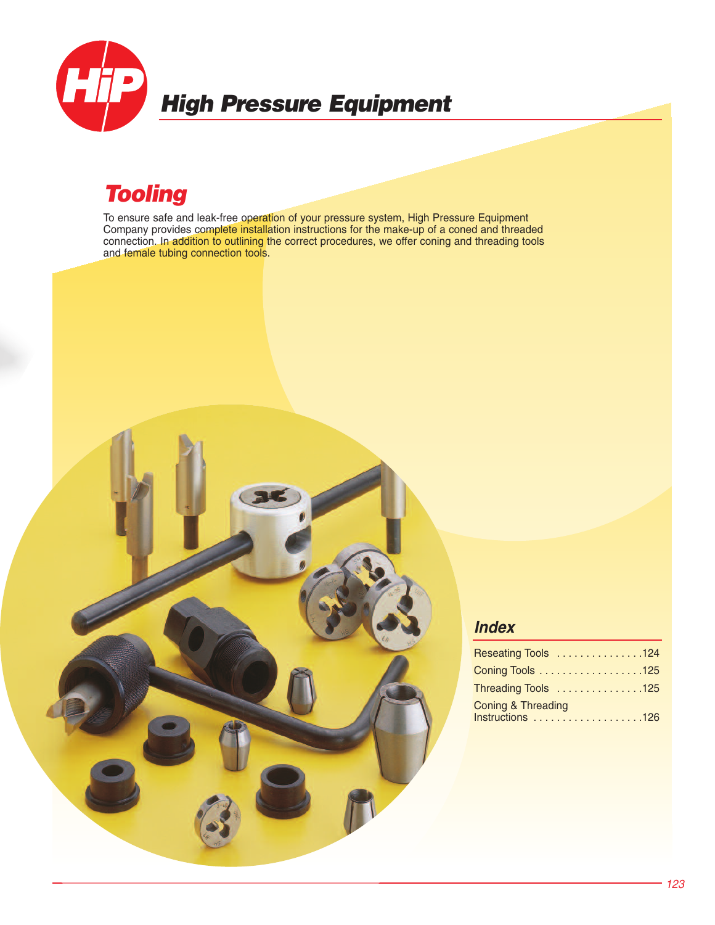

# *High Pressure Equipment*

# *Tooling*

To ensure safe and leak-free operation of your pressure system, High Pressure Equipment Company provides complete installation instructions for the make-up of a coned and threaded connection. In addition to outlining the correct procedures, we offer coning and threading tools and female tubing connection tools.



### *Index*

| Reseating Tools 124                               |
|---------------------------------------------------|
| Coning Tools 125                                  |
| Threading Tools 125                               |
| <b>Coning &amp; Threading</b><br>Instructions 126 |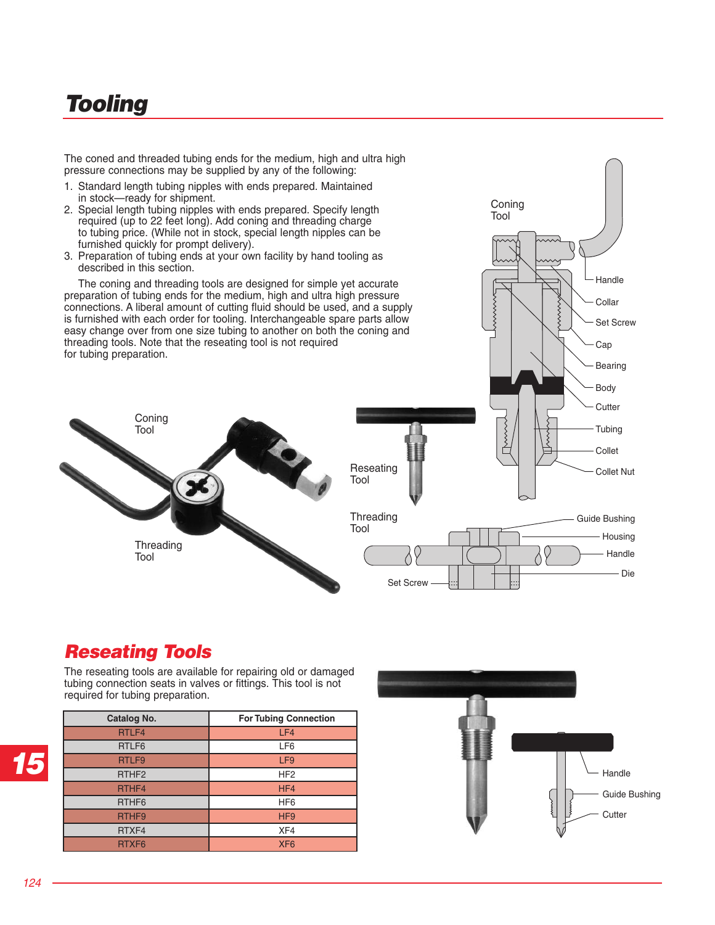# *Tooling*

The coned and threaded tubing ends for the medium, high and ultra high pressure connections may be supplied by any of the following:

- 1. Standard length tubing nipples with ends prepared. Maintained in stock—ready for shipment.
- 2. Special length tubing nipples with ends prepared. Specify length required (up to 22 feet long). Add coning and threading charge to tubing price. (While not in stock, special length nipples can be furnished quickly for prompt delivery).
- 3. Preparation of tubing ends at your own facility by hand tooling as described in this section.

 The coning and threading tools are designed for simple yet accurate preparation of tubing ends for the medium, high and ultra high pressure connections. A liberal amount of cutting fluid should be used, and a supply is furnished with each order for tooling. Interchangeable spare parts allow easy change over from one size tubing to another on both the coning and threading tools. Note that the reseating tool is not required for tubing preparation.





## *Reseating Tools*

The reseating tools are available for repairing old or damaged tubing connection seats in valves or fittings. This tool is not required for tubing preparation.

| Catalog No.       | <b>For Tubing Connection</b> |
|-------------------|------------------------------|
| RTLF4             | LF4                          |
| RTLF6             | LF <sub>6</sub>              |
| RTLF9             | LF9                          |
| RTHF <sub>2</sub> | HF <sub>2</sub>              |
| RTHF4             | HF4                          |
| RTHF <sub>6</sub> | HF <sub>6</sub>              |
| RTHF9             | HF <sub>9</sub>              |
| RTXF4             | XF4                          |
| RTXF <sub>6</sub> | XF <sub>6</sub>              |



*15*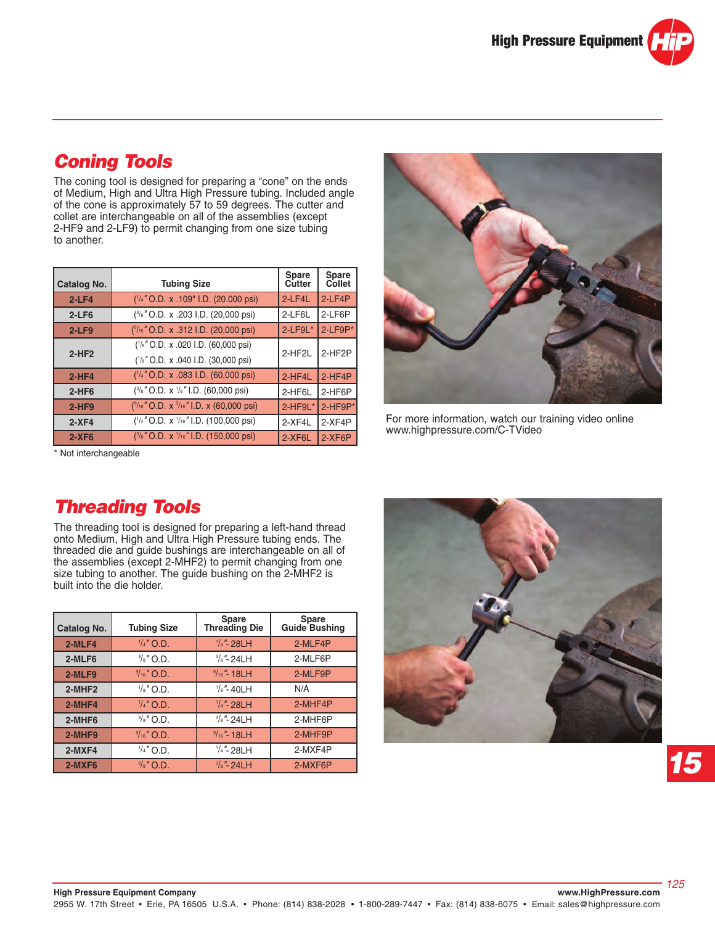## *Coning Tools*

The coning tool is designed for preparing a "cone" on the ends of Medium, High and Ultra High Pressure tubing. Included angle of the cone is approximately 57 to 59 degrees. The cutter and collet are interchangeable on all of the assemblies (except 2-HF9 and 2-LF9) to permit changing from one size tubing to another.

| <b>Catalog No.</b> | <b>Tubing Size</b>                                        | <b>Spare</b><br>Cutter | Spare<br>Collet |
|--------------------|-----------------------------------------------------------|------------------------|-----------------|
| $2-LF4$            | $(^{1}/_{4}$ " O.D. x .109" I.D. (20.000 psi)             | 2-LF4L                 | $2$ -LF4P       |
| $2-LF6$            | (3/8" O.D. x .203 I.D. (20,000 psi)                       | 2-LF6L                 | 2-LF6P          |
| $2-LF9$            | ( <sup>9</sup> /16" O.D. x .312 I.D. (20,000 psi)         | $2$ -LF9L $*$          | 2-LF9P*         |
|                    | (1/8" O.D. x .020 I.D. (60,000 psi)                       | 2-HF2L                 | 2-HF2P          |
| $2-HF2$            | (1/8" O.D. x .040 I.D. (30,000 psi)                       |                        |                 |
| $2-HF4$            | $('4"$ O.D. x .083 I.D. (60,000 psi)                      | 2-HF4L                 | $2-HF4P$        |
| $2-HF6$            | $(^{3}/_{8}$ " O.D. x $^{1}/_{8}$ " I.D. (60,000 psi)     | 2-HF6L                 | 2-HF6P          |
| $2-HF9$            | $(^{9/_{16}}$ " O.D. x $^{3/_{16}}$ " I.D. x (60,000 psi) | 2-HF9L*                | $2$ -HF9P*      |
| $2-XF4$            | $('4"$ O.D. x $'/16"$ I.D. (100,000 psi)                  | 2-XF4L                 | $2-XF4P$        |
| $2-XF6$            | $(^{3}/_{8}$ " O.D. x $^{1}/_{16}$ " I.D. (150,000 psi)   | 2-XF6L                 | $2-XF6P$        |



For more information, watch our training video online www.highpressure.com/C-TVideo

\* Not interchangeable

## *Threading Tools*

The threading tool is designed for preparing a left-hand thread onto Medium, High and Ultra High Pressure tubing ends. The threaded die and guide bushings are interchangeable on all of the assemblies (except 2-MHF2) to permit changing from one size tubing to another. The guide bushing on the 2-MHF2 is built into the die holder.

| <b>Catalog No.</b> | <b>Tubing Size</b>    | Spare<br>Threading Die           | Spare<br>Guide Bushing |
|--------------------|-----------------------|----------------------------------|------------------------|
| 2-MLF4             | $\frac{1}{4}$ " O.D.  | $\frac{1}{4}$ "- 28LH<br>2-MLF4P |                        |
| 2-MLF6             | $\frac{3}{8}$ " O.D.  | $\frac{3}{8}$ "- 24LH            | 2-MLF6P                |
| 2-MLF9             | $\frac{9}{16}$ " O.D. | $\frac{9}{16}$ "-18LH            | 2-MLF9P                |
| 2-MHF <sub>2</sub> | $\frac{1}{8}$ " O.D.  | $\frac{1}{8}$ "-40LH             | N/A                    |
| 2-MHF4             | $\frac{1}{4}$ " O.D.  | $1/4$ "-28LH                     | 2-MHF4P                |
| 2-MHF6             | $\frac{3}{8}$ " O.D.  | $\frac{3}{8}$ "- 24LH            | 2-MHF6P                |
| 2-MHF9             | $9/16$ " O.D.         | $9/16$ "-18LH<br>2-MHF9P         |                        |
| $2-MXF4$           | $\frac{1}{4}$ " O.D.  | $\frac{1}{4}$ "- 28LH            | 2-MXF4P                |
| 2-MXF6             | $\frac{3}{8}$ " O.D.  | $\frac{3}{8}$ "- 24LH            | 2-MXF6P                |